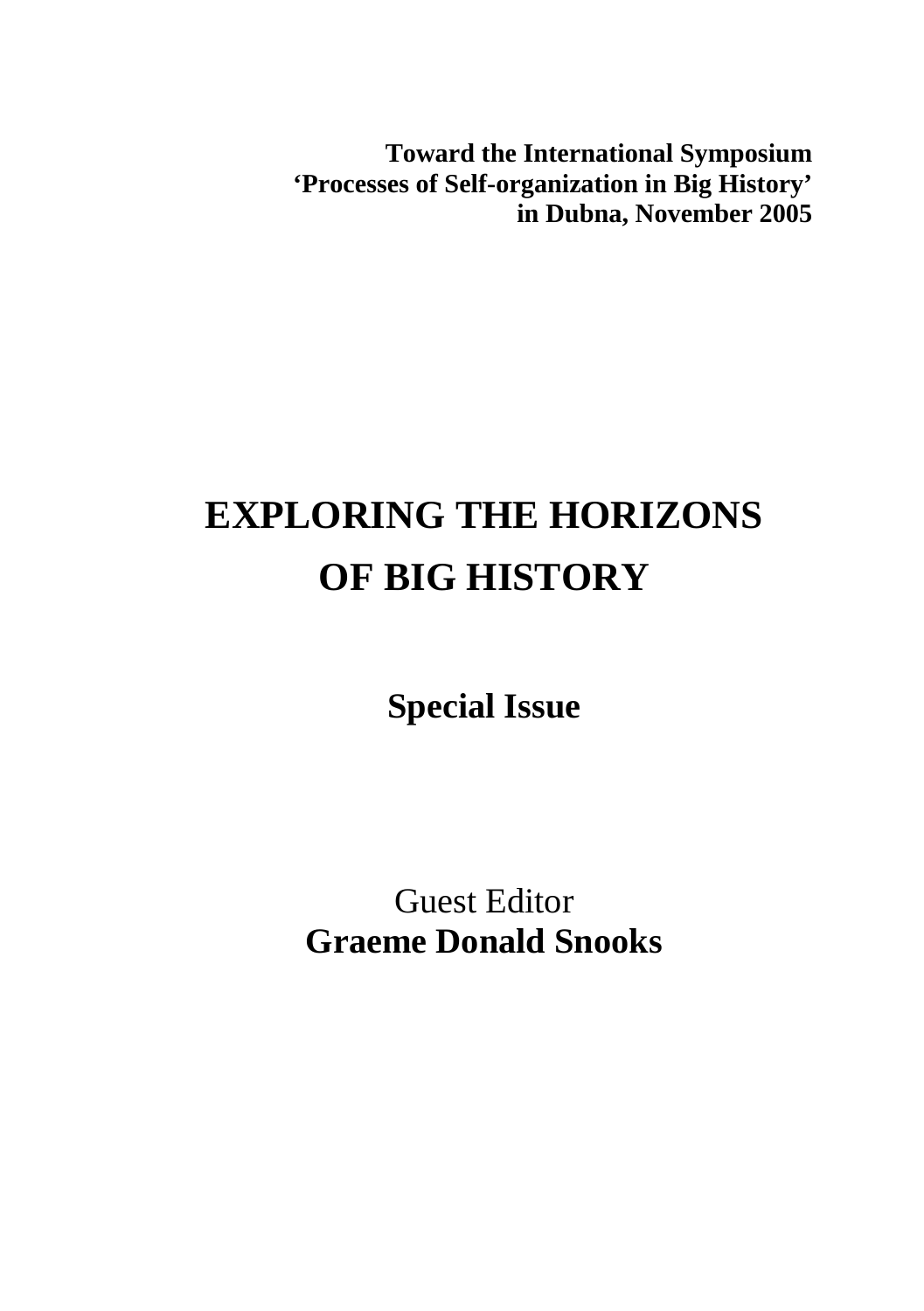**Toward the International Symposium 'Processes of Self-organization in Big History' in Dubna, November 2005** 

## **EXPLORING THE HORIZONS OF BIG HISTORY**

**Special Issue** 

Guest Editor **Graeme Donald Snooks**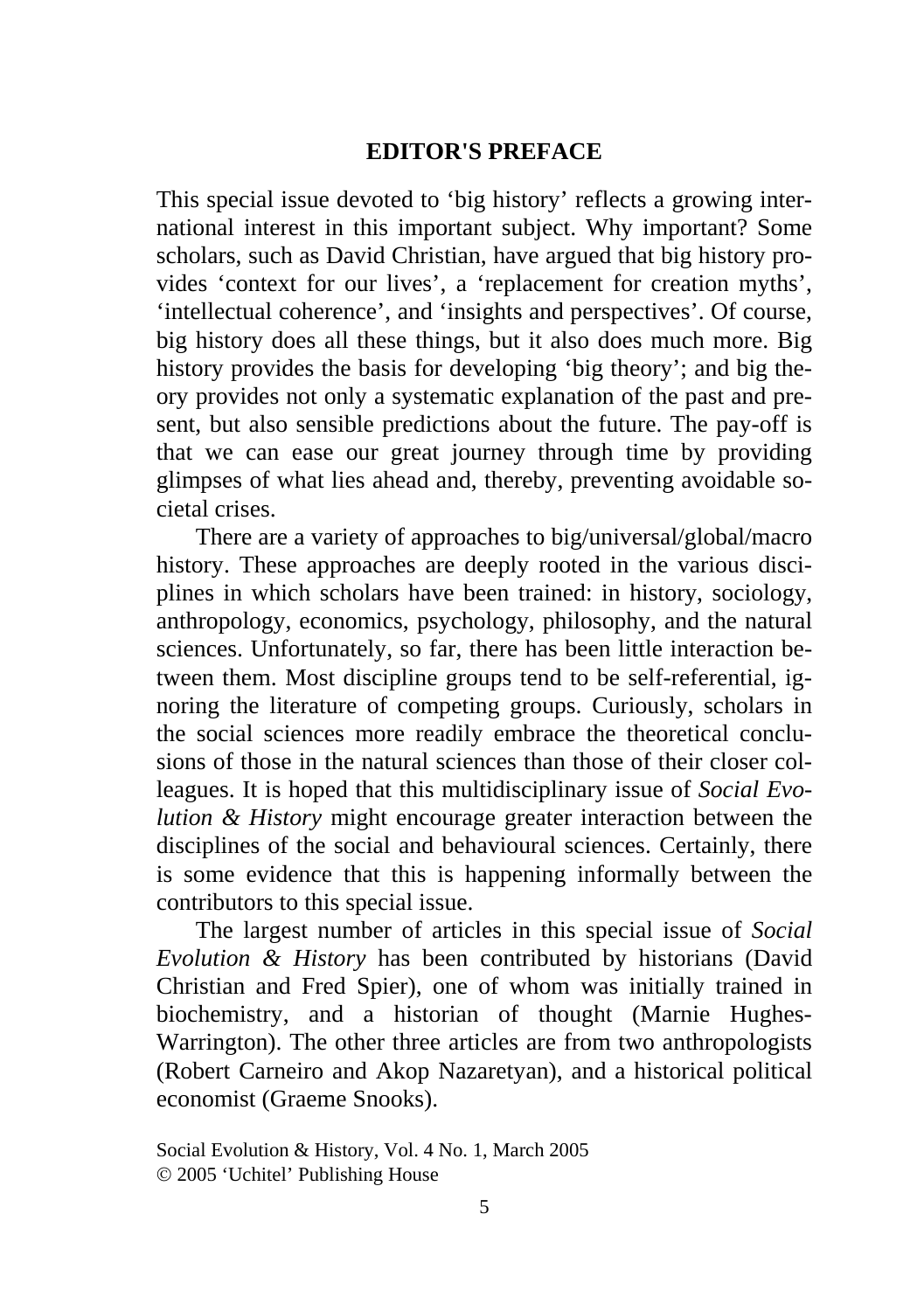## **EDITOR'S PREFACE**

This special issue devoted to 'big history' reflects a growing international interest in this important subject. Why important? Some scholars, such as David Christian, have argued that big history provides 'context for our lives', a 'replacement for creation myths', 'intellectual coherence', and 'insights and perspectives'. Of course, big history does all these things, but it also does much more. Big history provides the basis for developing 'big theory'; and big theory provides not only a systematic explanation of the past and present, but also sensible predictions about the future. The pay-off is that we can ease our great journey through time by providing glimpses of what lies ahead and, thereby, preventing avoidable societal crises.

There are a variety of approaches to big/universal/global/macro history. These approaches are deeply rooted in the various disciplines in which scholars have been trained: in history, sociology, anthropology, economics, psychology, philosophy, and the natural sciences. Unfortunately, so far, there has been little interaction between them. Most discipline groups tend to be self-referential, ignoring the literature of competing groups. Curiously, scholars in the social sciences more readily embrace the theoretical conclusions of those in the natural sciences than those of their closer colleagues. It is hoped that this multidisciplinary issue of *Social Evolution & History* might encourage greater interaction between the disciplines of the social and behavioural sciences. Certainly, there is some evidence that this is happening informally between the contributors to this special issue.

The largest number of articles in this special issue of *Social Evolution & History* has been contributed by historians (David Christian and Fred Spier), one of whom was initially trained in biochemistry, and a historian of thought (Marnie Hughes-Warrington). The other three articles are from two anthropologists (Robert Carneiro and Akop Nazaretyan), and a historical political economist (Graeme Snooks).

Social Evolution & History, Vol. 4 No. 1, March 2005 © 2005 'Uchitel' Publishing House